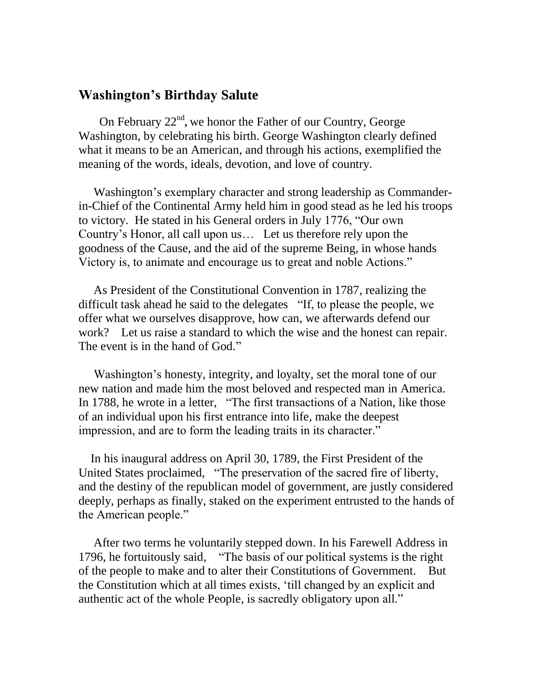## **Washington's Birthday Salute**

On February 22<sup>nd</sup>, we honor the Father of our Country, George Washington, by celebrating his birth. George Washington clearly defined what it means to be an American, and through his actions, exemplified the meaning of the words, ideals, devotion, and love of country.

 Washington"s exemplary character and strong leadership as Commanderin-Chief of the Continental Army held him in good stead as he led his troops to victory. He stated in his General orders in July 1776, "Our own Country"s Honor, all call upon us… Let us therefore rely upon the goodness of the Cause, and the aid of the supreme Being, in whose hands Victory is, to animate and encourage us to great and noble Actions."

 As President of the Constitutional Convention in 1787, realizing the difficult task ahead he said to the delegates "If, to please the people, we offer what we ourselves disapprove, how can, we afterwards defend our work? Let us raise a standard to which the wise and the honest can repair. The event is in the hand of God."

 Washington"s honesty, integrity, and loyalty, set the moral tone of our new nation and made him the most beloved and respected man in America. In 1788, he wrote in a letter, "The first transactions of a Nation, like those of an individual upon his first entrance into life, make the deepest impression, and are to form the leading traits in its character."

 In his inaugural address on April 30, 1789, the First President of the United States proclaimed, "The preservation of the sacred fire of liberty, and the destiny of the republican model of government, are justly considered deeply, perhaps as finally, staked on the experiment entrusted to the hands of the American people."

 After two terms he voluntarily stepped down. In his Farewell Address in 1796, he fortuitously said, "The basis of our political systems is the right of the people to make and to alter their Constitutions of Government. But the Constitution which at all times exists, "till changed by an explicit and authentic act of the whole People, is sacredly obligatory upon all."